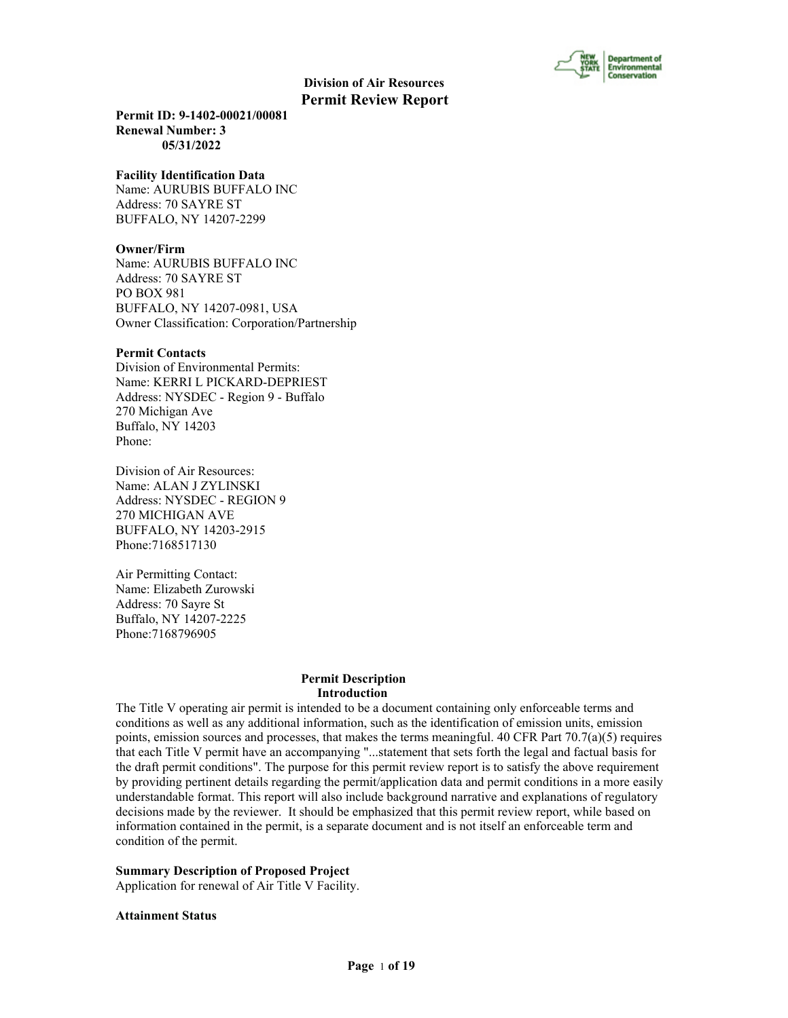

**Permit ID: 9-1402-00021/00081 Renewal Number: 3 05/31/2022**

#### **Facility Identification Data**

Name: AURUBIS BUFFALO INC Address: 70 SAYRE ST BUFFALO, NY 14207-2299

#### **Owner/Firm**

Name: AURUBIS BUFFALO INC Address: 70 SAYRE ST PO BOX 981 BUFFALO, NY 14207-0981, USA Owner Classification: Corporation/Partnership

#### **Permit Contacts**

Division of Environmental Permits: Name: KERRI L PICKARD-DEPRIEST Address: NYSDEC - Region 9 - Buffalo 270 Michigan Ave Buffalo, NY 14203 Phone:

Division of Air Resources: Name: ALAN J ZYLINSKI Address: NYSDEC - REGION 9 270 MICHIGAN AVE BUFFALO, NY 14203-2915 Phone:7168517130

Air Permitting Contact: Name: Elizabeth Zurowski Address: 70 Sayre St Buffalo, NY 14207-2225 Phone:7168796905

#### **Permit Description Introduction**

The Title V operating air permit is intended to be a document containing only enforceable terms and conditions as well as any additional information, such as the identification of emission units, emission points, emission sources and processes, that makes the terms meaningful. 40 CFR Part  $70.7(a)(5)$  requires that each Title V permit have an accompanying "...statement that sets forth the legal and factual basis for the draft permit conditions". The purpose for this permit review report is to satisfy the above requirement by providing pertinent details regarding the permit/application data and permit conditions in a more easily understandable format. This report will also include background narrative and explanations of regulatory decisions made by the reviewer. It should be emphasized that this permit review report, while based on information contained in the permit, is a separate document and is not itself an enforceable term and condition of the permit.

#### **Summary Description of Proposed Project**

Application for renewal of Air Title V Facility.

#### **Attainment Status**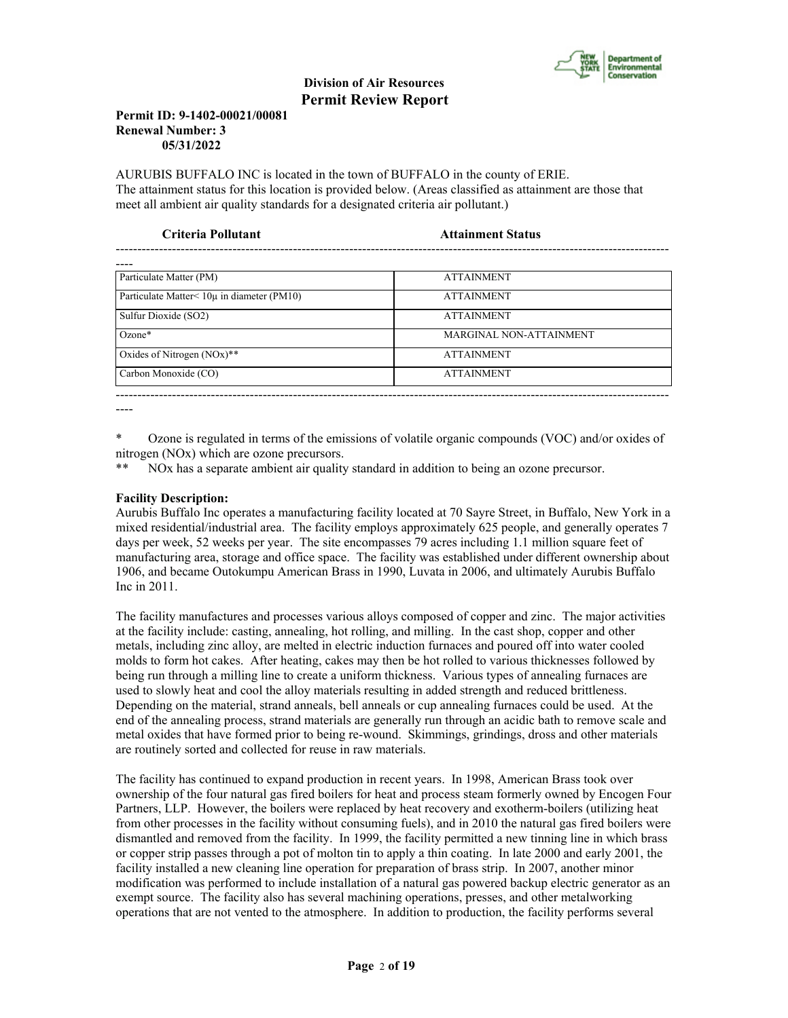

#### **Permit ID: 9-1402-00021/00081 Renewal Number: 3 05/31/2022**

AURUBIS BUFFALO INC is located in the town of BUFFALO in the county of ERIE. The attainment status for this location is provided below. (Areas classified as attainment are those that meet all ambient air quality standards for a designated criteria air pollutant.)

| Criteria Pollutant                         | <b>Attainment Status</b> |  |
|--------------------------------------------|--------------------------|--|
|                                            |                          |  |
| Particulate Matter (PM)                    | <b>ATTAINMENT</b>        |  |
| Particulate Matter< 10µ in diameter (PM10) | <b>ATTAINMENT</b>        |  |
| Sulfur Dioxide (SO2)                       | <b>ATTAINMENT</b>        |  |
| $Ozone*$                                   | MARGINAL NON-ATTAINMENT  |  |
| Oxides of Nitrogen $(NOx)$ **              | <b>ATTAINMENT</b>        |  |
| Carbon Monoxide (CO)                       | <b>ATTAINMENT</b>        |  |

----

\* Ozone is regulated in terms of the emissions of volatile organic compounds (VOC) and/or oxides of nitrogen (NOx) which are ozone precursors.

\*\* NOx has a separate ambient air quality standard in addition to being an ozone precursor.

### **Facility Description:**

Aurubis Buffalo Inc operates a manufacturing facility located at 70 Sayre Street, in Buffalo, New York in a mixed residential/industrial area. The facility employs approximately 625 people, and generally operates 7 days per week, 52 weeks per year. The site encompasses 79 acres including 1.1 million square feet of manufacturing area, storage and office space. The facility was established under different ownership about 1906, and became Outokumpu American Brass in 1990, Luvata in 2006, and ultimately Aurubis Buffalo Inc in 2011.

The facility manufactures and processes various alloys composed of copper and zinc. The major activities at the facility include: casting, annealing, hot rolling, and milling. In the cast shop, copper and other metals, including zinc alloy, are melted in electric induction furnaces and poured off into water cooled molds to form hot cakes. After heating, cakes may then be hot rolled to various thicknesses followed by being run through a milling line to create a uniform thickness. Various types of annealing furnaces are used to slowly heat and cool the alloy materials resulting in added strength and reduced brittleness. Depending on the material, strand anneals, bell anneals or cup annealing furnaces could be used. At the end of the annealing process, strand materials are generally run through an acidic bath to remove scale and metal oxides that have formed prior to being re-wound. Skimmings, grindings, dross and other materials are routinely sorted and collected for reuse in raw materials.

The facility has continued to expand production in recent years. In 1998, American Brass took over ownership of the four natural gas fired boilers for heat and process steam formerly owned by Encogen Four Partners, LLP. However, the boilers were replaced by heat recovery and exotherm-boilers (utilizing heat from other processes in the facility without consuming fuels), and in 2010 the natural gas fired boilers were dismantled and removed from the facility. In 1999, the facility permitted a new tinning line in which brass or copper strip passes through a pot of molton tin to apply a thin coating. In late 2000 and early 2001, the facility installed a new cleaning line operation for preparation of brass strip. In 2007, another minor modification was performed to include installation of a natural gas powered backup electric generator as an exempt source. The facility also has several machining operations, presses, and other metalworking operations that are not vented to the atmosphere. In addition to production, the facility performs several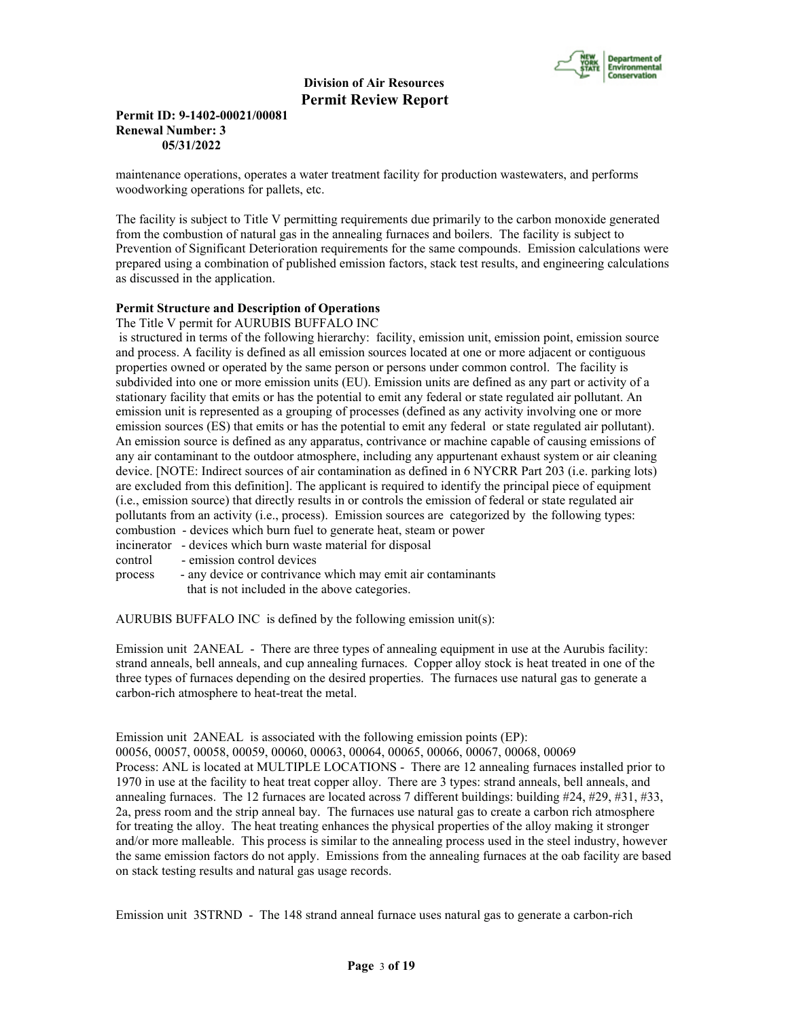

#### **Permit ID: 9-1402-00021/00081 Renewal Number: 3 05/31/2022**

maintenance operations, operates a water treatment facility for production wastewaters, and performs woodworking operations for pallets, etc.

The facility is subject to Title V permitting requirements due primarily to the carbon monoxide generated from the combustion of natural gas in the annealing furnaces and boilers. The facility is subject to Prevention of Significant Deterioration requirements for the same compounds. Emission calculations were prepared using a combination of published emission factors, stack test results, and engineering calculations as discussed in the application.

#### **Permit Structure and Description of Operations**

The Title V permit for AURUBIS BUFFALO INC

 is structured in terms of the following hierarchy: facility, emission unit, emission point, emission source and process. A facility is defined as all emission sources located at one or more adjacent or contiguous properties owned or operated by the same person or persons under common control. The facility is subdivided into one or more emission units (EU). Emission units are defined as any part or activity of a stationary facility that emits or has the potential to emit any federal or state regulated air pollutant. An emission unit is represented as a grouping of processes (defined as any activity involving one or more emission sources (ES) that emits or has the potential to emit any federal or state regulated air pollutant). An emission source is defined as any apparatus, contrivance or machine capable of causing emissions of any air contaminant to the outdoor atmosphere, including any appurtenant exhaust system or air cleaning device. [NOTE: Indirect sources of air contamination as defined in 6 NYCRR Part 203 (i.e. parking lots) are excluded from this definition]. The applicant is required to identify the principal piece of equipment (i.e., emission source) that directly results in or controls the emission of federal or state regulated air pollutants from an activity (i.e., process). Emission sources are categorized by the following types: combustion - devices which burn fuel to generate heat, steam or power

- incinerator devices which burn waste material for disposal
- control emission control devices
- process any device or contrivance which may emit air contaminants that is not included in the above categories.

AURUBIS BUFFALO INC is defined by the following emission unit(s):

Emission unit 2ANEAL - There are three types of annealing equipment in use at the Aurubis facility: strand anneals, bell anneals, and cup annealing furnaces. Copper alloy stock is heat treated in one of the three types of furnaces depending on the desired properties. The furnaces use natural gas to generate a carbon-rich atmosphere to heat-treat the metal.

Emission unit 2ANEAL is associated with the following emission points (EP):

00056, 00057, 00058, 00059, 00060, 00063, 00064, 00065, 00066, 00067, 00068, 00069 Process: ANL is located at MULTIPLE LOCATIONS - There are 12 annealing furnaces installed prior to 1970 in use at the facility to heat treat copper alloy. There are 3 types: strand anneals, bell anneals, and annealing furnaces. The 12 furnaces are located across 7 different buildings: building  $#24, #29, #31, #33,$ 2a, press room and the strip anneal bay. The furnaces use natural gas to create a carbon rich atmosphere for treating the alloy. The heat treating enhances the physical properties of the alloy making it stronger and/or more malleable. This process is similar to the annealing process used in the steel industry, however the same emission factors do not apply. Emissions from the annealing furnaces at the oab facility are based on stack testing results and natural gas usage records.

Emission unit 3STRND - The 148 strand anneal furnace uses natural gas to generate a carbon-rich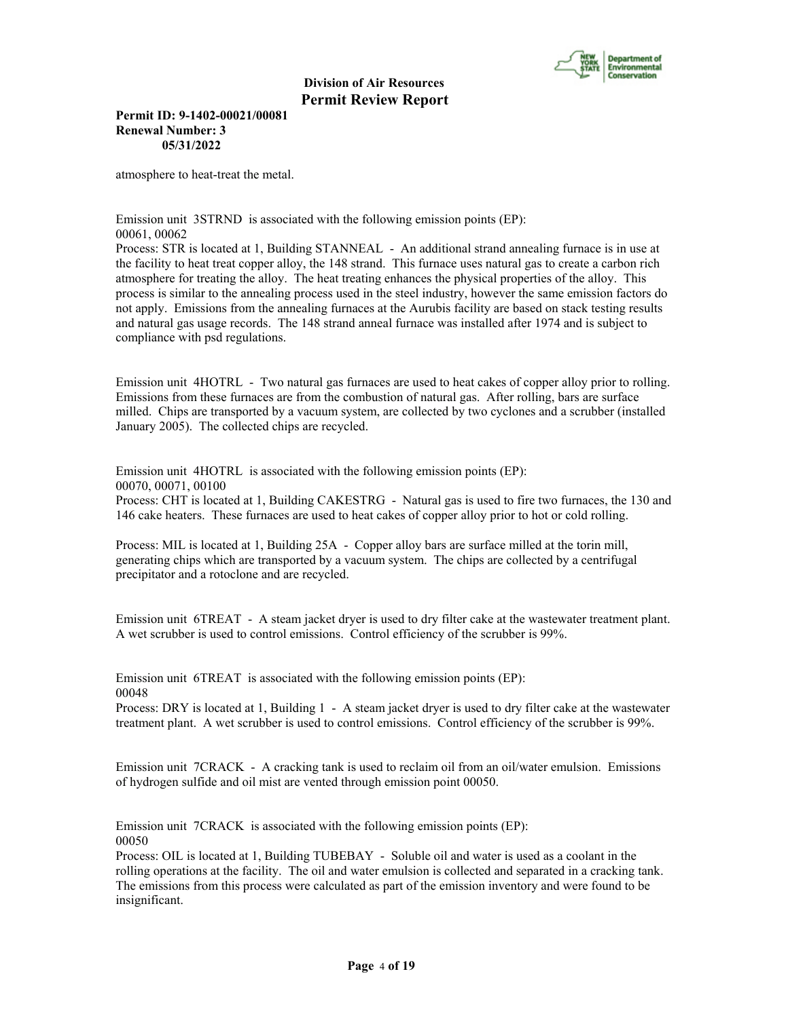

**Permit ID: 9-1402-00021/00081 Renewal Number: 3 05/31/2022**

atmosphere to heat-treat the metal.

Emission unit 3STRND is associated with the following emission points (EP): 00061, 00062

Process: STR is located at 1, Building STANNEAL - An additional strand annealing furnace is in use at the facility to heat treat copper alloy, the 148 strand. This furnace uses natural gas to create a carbon rich atmosphere for treating the alloy. The heat treating enhances the physical properties of the alloy. This process is similar to the annealing process used in the steel industry, however the same emission factors do not apply. Emissions from the annealing furnaces at the Aurubis facility are based on stack testing results and natural gas usage records. The 148 strand anneal furnace was installed after 1974 and is subject to compliance with psd regulations.

Emission unit 4HOTRL - Two natural gas furnaces are used to heat cakes of copper alloy prior to rolling. Emissions from these furnaces are from the combustion of natural gas. After rolling, bars are surface milled. Chips are transported by a vacuum system, are collected by two cyclones and a scrubber (installed January 2005). The collected chips are recycled.

Emission unit 4HOTRL is associated with the following emission points (EP): 00070, 00071, 00100

Process: CHT is located at 1, Building CAKESTRG - Natural gas is used to fire two furnaces, the 130 and 146 cake heaters. These furnaces are used to heat cakes of copper alloy prior to hot or cold rolling.

Process: MIL is located at 1, Building 25A - Copper alloy bars are surface milled at the torin mill, generating chips which are transported by a vacuum system. The chips are collected by a centrifugal precipitator and a rotoclone and are recycled.

Emission unit 6TREAT - A steam jacket dryer is used to dry filter cake at the wastewater treatment plant. A wet scrubber is used to control emissions. Control efficiency of the scrubber is 99%.

Emission unit 6TREAT is associated with the following emission points (EP): 00048

Process: DRY is located at 1, Building 1 - A steam jacket dryer is used to dry filter cake at the wastewater treatment plant. A wet scrubber is used to control emissions. Control efficiency of the scrubber is 99%.

Emission unit 7CRACK - A cracking tank is used to reclaim oil from an oil/water emulsion. Emissions of hydrogen sulfide and oil mist are vented through emission point 00050.

Emission unit 7CRACK is associated with the following emission points (EP): 00050

Process: OIL is located at 1, Building TUBEBAY - Soluble oil and water is used as a coolant in the rolling operations at the facility. The oil and water emulsion is collected and separated in a cracking tank. The emissions from this process were calculated as part of the emission inventory and were found to be insignificant.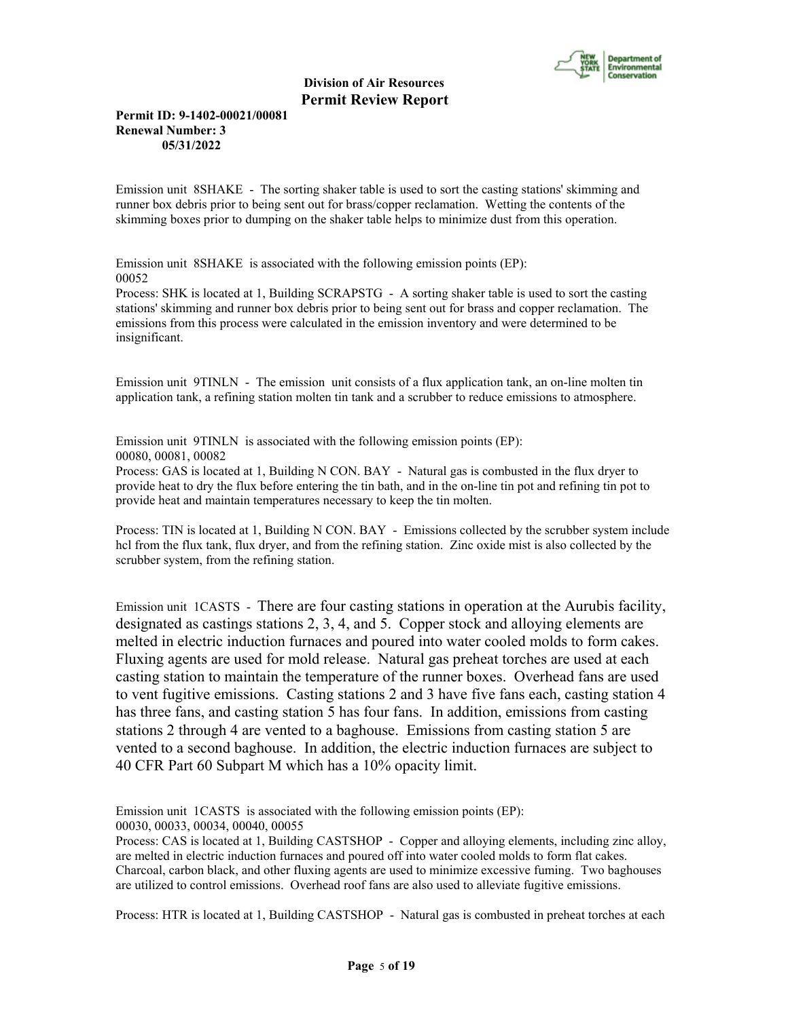

#### **Permit ID: 9-1402-00021/00081 Renewal Number: 3 05/31/2022**

Emission unit 8SHAKE - The sorting shaker table is used to sort the casting stations' skimming and runner box debris prior to being sent out for brass/copper reclamation. Wetting the contents of the skimming boxes prior to dumping on the shaker table helps to minimize dust from this operation.

Emission unit 8SHAKE is associated with the following emission points (EP): 00052

Process: SHK is located at 1, Building SCRAPSTG - A sorting shaker table is used to sort the casting stations' skimming and runner box debris prior to being sent out for brass and copper reclamation. The emissions from this process were calculated in the emission inventory and were determined to be insignificant.

Emission unit 9TINLN - The emission unit consists of a flux application tank, an on-line molten tin application tank, a refining station molten tin tank and a scrubber to reduce emissions to atmosphere.

Emission unit 9TINLN is associated with the following emission points (EP): 00080, 00081, 00082

Process: GAS is located at 1, Building N CON. BAY - Natural gas is combusted in the flux dryer to provide heat to dry the flux before entering the tin bath, and in the on-line tin pot and refining tin pot to provide heat and maintain temperatures necessary to keep the tin molten.

Process: TIN is located at 1, Building N CON. BAY - Emissions collected by the scrubber system include hcl from the flux tank, flux dryer, and from the refining station. Zinc oxide mist is also collected by the scrubber system, from the refining station.

Emission unit 1CASTS - There are four casting stations in operation at the Aurubis facility, designated as castings stations 2, 3, 4, and 5. Copper stock and alloying elements are melted in electric induction furnaces and poured into water cooled molds to form cakes. Fluxing agents are used for mold release. Natural gas preheat torches are used at each casting station to maintain the temperature of the runner boxes. Overhead fans are used to vent fugitive emissions. Casting stations 2 and 3 have five fans each, casting station 4 has three fans, and casting station 5 has four fans. In addition, emissions from casting stations 2 through 4 are vented to a baghouse. Emissions from casting station 5 are vented to a second baghouse. In addition, the electric induction furnaces are subject to 40 CFR Part 60 Subpart M which has a 10% opacity limit.

Emission unit 1CASTS is associated with the following emission points (EP): 00030, 00033, 00034, 00040, 00055

Process: CAS is located at 1, Building CASTSHOP - Copper and alloying elements, including zinc alloy, are melted in electric induction furnaces and poured off into water cooled molds to form flat cakes. Charcoal, carbon black, and other fluxing agents are used to minimize excessive fuming. Two baghouses are utilized to control emissions. Overhead roof fans are also used to alleviate fugitive emissions.

Process: HTR is located at 1, Building CASTSHOP - Natural gas is combusted in preheat torches at each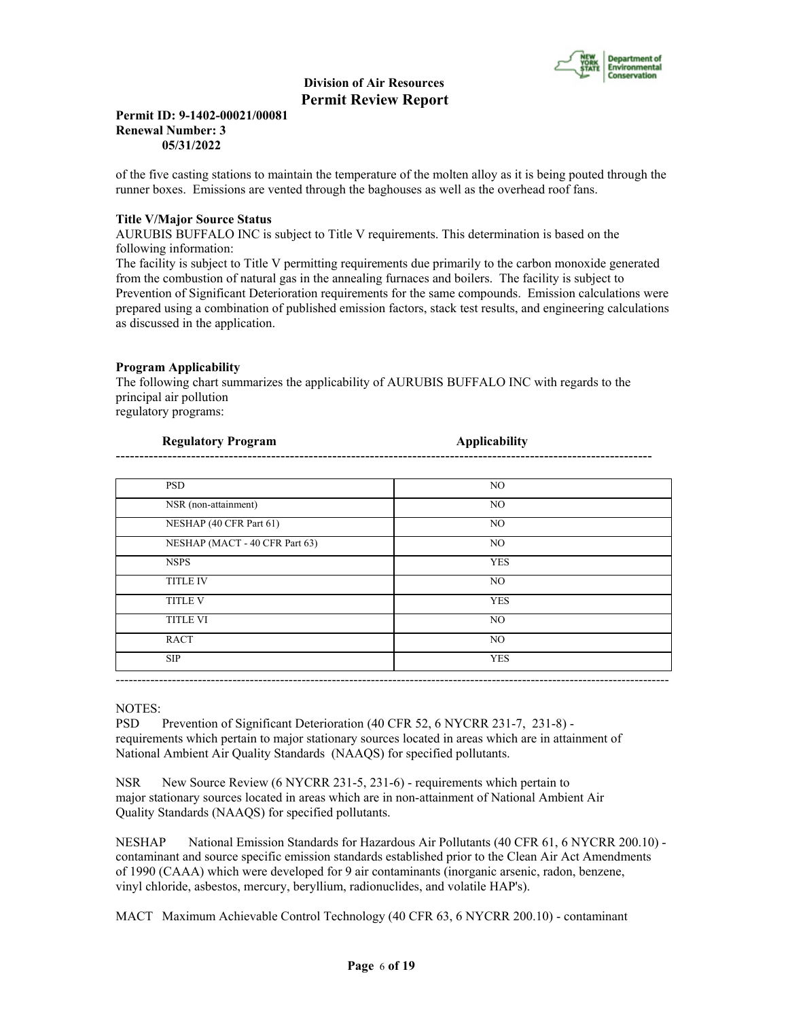

#### **Permit ID: 9-1402-00021/00081 Renewal Number: 3 05/31/2022**

of the five casting stations to maintain the temperature of the molten alloy as it is being pouted through the runner boxes. Emissions are vented through the baghouses as well as the overhead roof fans.

#### **Title V/Major Source Status**

AURUBIS BUFFALO INC is subject to Title V requirements. This determination is based on the following information:

The facility is subject to Title V permitting requirements due primarily to the carbon monoxide generated from the combustion of natural gas in the annealing furnaces and boilers. The facility is subject to Prevention of Significant Deterioration requirements for the same compounds. Emission calculations were prepared using a combination of published emission factors, stack test results, and engineering calculations as discussed in the application.

#### **Program Applicability**

The following chart summarizes the applicability of AURUBIS BUFFALO INC with regards to the principal air pollution regulatory programs:

**Regulatory Program Applicability** 

| <b>PSD</b>                     | NO.        |
|--------------------------------|------------|
| NSR (non-attainment)           | NO.        |
| NESHAP (40 CFR Part 61)        | NO.        |
| NESHAP (MACT - 40 CFR Part 63) | NO.        |
| <b>NSPS</b>                    | <b>YES</b> |
| <b>TITLE IV</b>                | NO.        |
| <b>TITLE V</b>                 | <b>YES</b> |
| <b>TITLE VI</b>                | NO.        |
| <b>RACT</b>                    | NO.        |
| <b>SIP</b>                     | <b>YES</b> |

#### NOTES:

PSD Prevention of Significant Deterioration (40 CFR 52, 6 NYCRR 231-7, 231-8) requirements which pertain to major stationary sources located in areas which are in attainment of National Ambient Air Quality Standards (NAAQS) for specified pollutants.

NSR New Source Review (6 NYCRR 231-5, 231-6) - requirements which pertain to major stationary sources located in areas which are in non-attainment of National Ambient Air Quality Standards (NAAQS) for specified pollutants.

NESHAP National Emission Standards for Hazardous Air Pollutants (40 CFR 61, 6 NYCRR 200.10) contaminant and source specific emission standards established prior to the Clean Air Act Amendments of 1990 (CAAA) which were developed for 9 air contaminants (inorganic arsenic, radon, benzene, vinyl chloride, asbestos, mercury, beryllium, radionuclides, and volatile HAP's).

MACT Maximum Achievable Control Technology (40 CFR 63, 6 NYCRR 200.10) - contaminant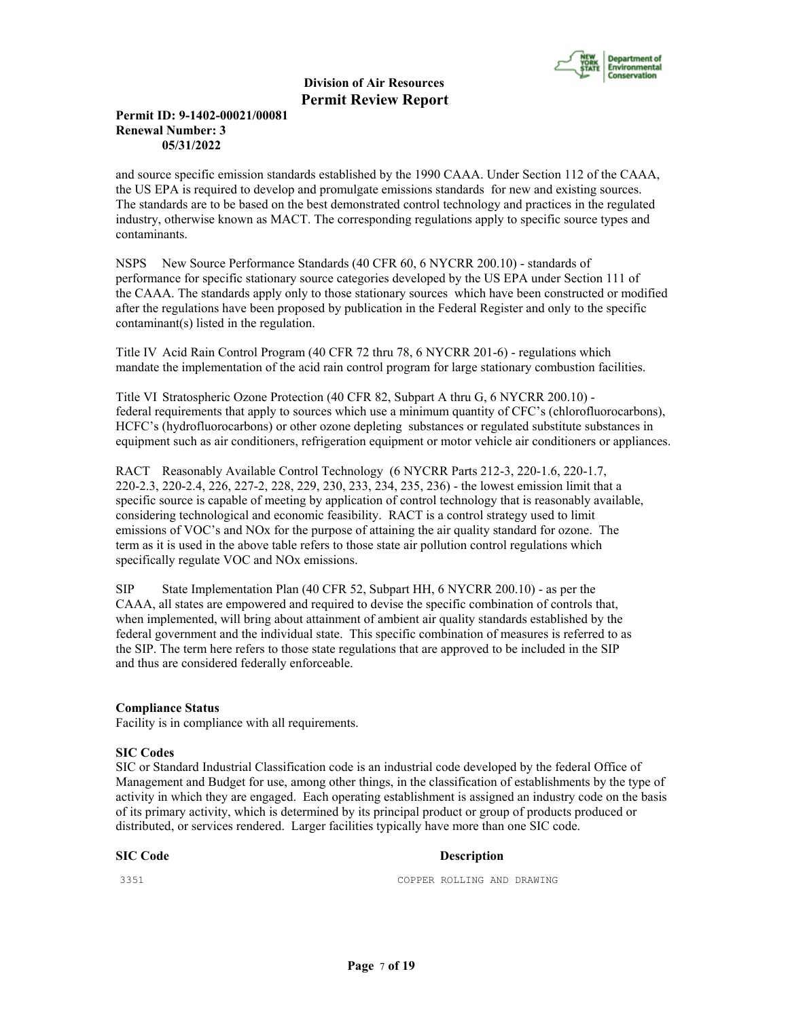

#### **Permit ID: 9-1402-00021/00081 Renewal Number: 3 05/31/2022**

and source specific emission standards established by the 1990 CAAA. Under Section 112 of the CAAA, the US EPA is required to develop and promulgate emissions standards for new and existing sources. The standards are to be based on the best demonstrated control technology and practices in the regulated industry, otherwise known as MACT. The corresponding regulations apply to specific source types and contaminants.

NSPS New Source Performance Standards (40 CFR 60, 6 NYCRR 200.10) - standards of performance for specific stationary source categories developed by the US EPA under Section 111 of the CAAA. The standards apply only to those stationary sources which have been constructed or modified after the regulations have been proposed by publication in the Federal Register and only to the specific contaminant(s) listed in the regulation.

Title IV Acid Rain Control Program (40 CFR 72 thru 78, 6 NYCRR 201-6) - regulations which mandate the implementation of the acid rain control program for large stationary combustion facilities.

Title VI Stratospheric Ozone Protection (40 CFR 82, Subpart A thru G, 6 NYCRR 200.10) federal requirements that apply to sources which use a minimum quantity of CFC's (chlorofluorocarbons), HCFC's (hydrofluorocarbons) or other ozone depleting substances or regulated substitute substances in equipment such as air conditioners, refrigeration equipment or motor vehicle air conditioners or appliances.

RACT Reasonably Available Control Technology (6 NYCRR Parts 212-3, 220-1.6, 220-1.7, 220-2.3, 220-2.4, 226, 227-2, 228, 229, 230, 233, 234, 235, 236) - the lowest emission limit that a specific source is capable of meeting by application of control technology that is reasonably available, considering technological and economic feasibility. RACT is a control strategy used to limit emissions of VOC's and NOx for the purpose of attaining the air quality standard for ozone. The term as it is used in the above table refers to those state air pollution control regulations which specifically regulate VOC and NOx emissions.

SIP State Implementation Plan (40 CFR 52, Subpart HH, 6 NYCRR 200.10) - as per the CAAA, all states are empowered and required to devise the specific combination of controls that, when implemented, will bring about attainment of ambient air quality standards established by the federal government and the individual state. This specific combination of measures is referred to as the SIP. The term here refers to those state regulations that are approved to be included in the SIP and thus are considered federally enforceable.

#### **Compliance Status**

Facility is in compliance with all requirements.

#### **SIC Codes**

SIC or Standard Industrial Classification code is an industrial code developed by the federal Office of Management and Budget for use, among other things, in the classification of establishments by the type of activity in which they are engaged. Each operating establishment is assigned an industry code on the basis of its primary activity, which is determined by its principal product or group of products produced or distributed, or services rendered. Larger facilities typically have more than one SIC code.

#### **SIC Code** Description

3351 COPPER ROLLING AND DRAWING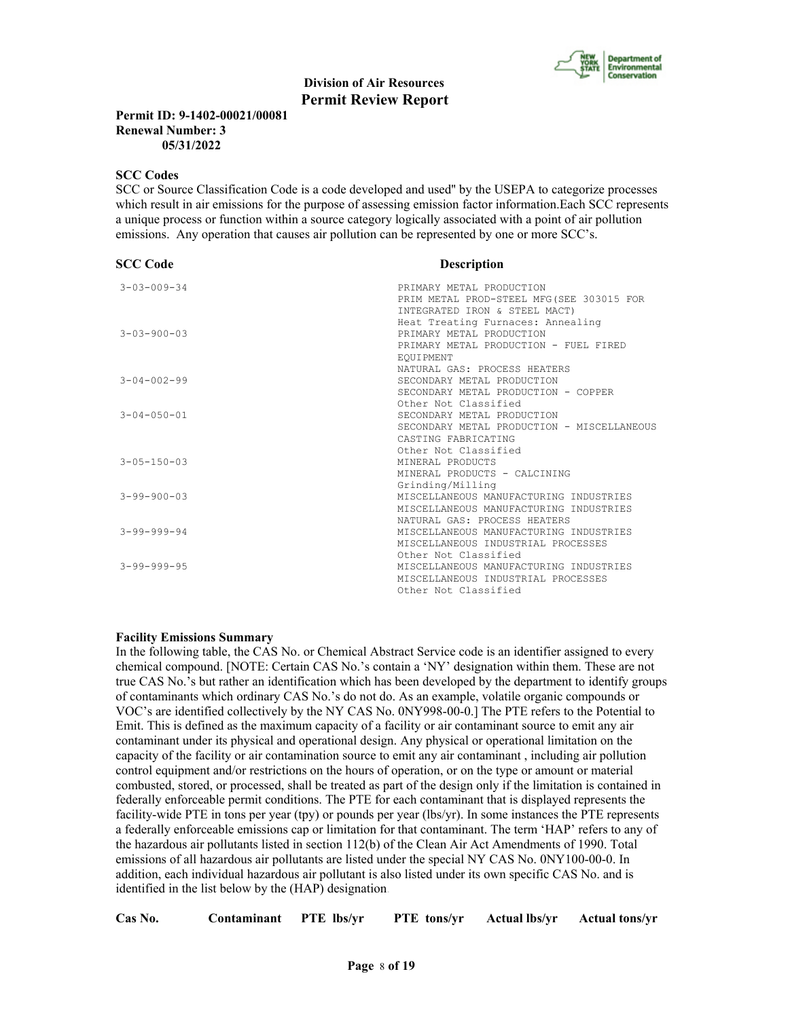

#### **Permit ID: 9-1402-00021/00081 Renewal Number: 3 05/31/2022**

#### **SCC Codes**

SCC or Source Classification Code is a code developed and used'' by the USEPA to categorize processes which result in air emissions for the purpose of assessing emission factor information.Each SCC represents a unique process or function within a source category logically associated with a point of air pollution emissions. Any operation that causes air pollution can be represented by one or more SCC's.

| <b>SCC Code</b>     | <b>Description</b>                         |  |  |
|---------------------|--------------------------------------------|--|--|
| $3 - 03 - 009 - 34$ | PRIMARY METAL PRODUCTION                   |  |  |
|                     | PRIM METAL PROD-STEEL MFG (SEE 303015 FOR  |  |  |
|                     | INTEGRATED IRON & STEEL MACT)              |  |  |
|                     | Heat Treating Furnaces: Annealing          |  |  |
| $3 - 03 - 900 - 03$ | PRIMARY METAL PRODUCTION                   |  |  |
|                     | PRIMARY METAL PRODUCTION - FUEL FIRED      |  |  |
|                     | EOUIPMENT                                  |  |  |
|                     | NATURAL GAS: PROCESS HEATERS               |  |  |
| $3 - 04 - 002 - 99$ | SECONDARY METAL PRODUCTION                 |  |  |
|                     | SECONDARY METAL PRODUCTION - COPPER        |  |  |
|                     | Other Not Classified                       |  |  |
| $3 - 04 - 050 - 01$ | SECONDARY METAL PRODUCTION                 |  |  |
|                     | SECONDARY METAL PRODUCTION - MISCELLANEOUS |  |  |
|                     | CASTING FABRICATING                        |  |  |
|                     | Other Not Classified                       |  |  |
| $3 - 05 - 150 - 03$ | MINERAL PRODUCTS                           |  |  |
|                     | MINERAL PRODUCTS - CALCINING               |  |  |
|                     | Grinding/Milling                           |  |  |
| $3 - 99 - 900 - 03$ | MISCELLANEOUS MANUFACTURING INDUSTRIES     |  |  |
|                     | MISCELLANEOUS MANUFACTURING INDUSTRIES     |  |  |
|                     | NATURAL GAS: PROCESS HEATERS               |  |  |
| $3 - 99 - 999 - 94$ | MISCELLANEOUS MANUFACTURING INDUSTRIES     |  |  |
|                     | MISCELLANEOUS INDUSTRIAL PROCESSES         |  |  |
|                     | Other Not Classified                       |  |  |
| $3 - 99 - 999 - 95$ | MISCELLANEOUS MANUFACTURING INDUSTRIES     |  |  |
|                     | MISCELLANEOUS INDUSTRIAL PROCESSES         |  |  |
|                     | Other Not Classified                       |  |  |

#### **Facility Emissions Summary**

In the following table, the CAS No. or Chemical Abstract Service code is an identifier assigned to every chemical compound. [NOTE: Certain CAS No.'s contain a 'NY' designation within them. These are not true CAS No.'s but rather an identification which has been developed by the department to identify groups of contaminants which ordinary CAS No.'s do not do. As an example, volatile organic compounds or VOC's are identified collectively by the NY CAS No. 0NY998-00-0.] The PTE refers to the Potential to Emit. This is defined as the maximum capacity of a facility or air contaminant source to emit any air contaminant under its physical and operational design. Any physical or operational limitation on the capacity of the facility or air contamination source to emit any air contaminant , including air pollution control equipment and/or restrictions on the hours of operation, or on the type or amount or material combusted, stored, or processed, shall be treated as part of the design only if the limitation is contained in federally enforceable permit conditions. The PTE for each contaminant that is displayed represents the facility-wide PTE in tons per year (tpy) or pounds per year (lbs/yr). In some instances the PTE represents a federally enforceable emissions cap or limitation for that contaminant. The term 'HAP' refers to any of the hazardous air pollutants listed in section 112(b) of the Clean Air Act Amendments of 1990. Total emissions of all hazardous air pollutants are listed under the special NY CAS No. 0NY100-00-0. In addition, each individual hazardous air pollutant is also listed under its own specific CAS No. and is identified in the list below by the (HAP) designation.

| Cas No. | Contaminant PTE lbs/yr |  | <b>PTE</b> tons/yr Actual lbs/yr |  | <b>Actual tons/yr</b> |
|---------|------------------------|--|----------------------------------|--|-----------------------|
|---------|------------------------|--|----------------------------------|--|-----------------------|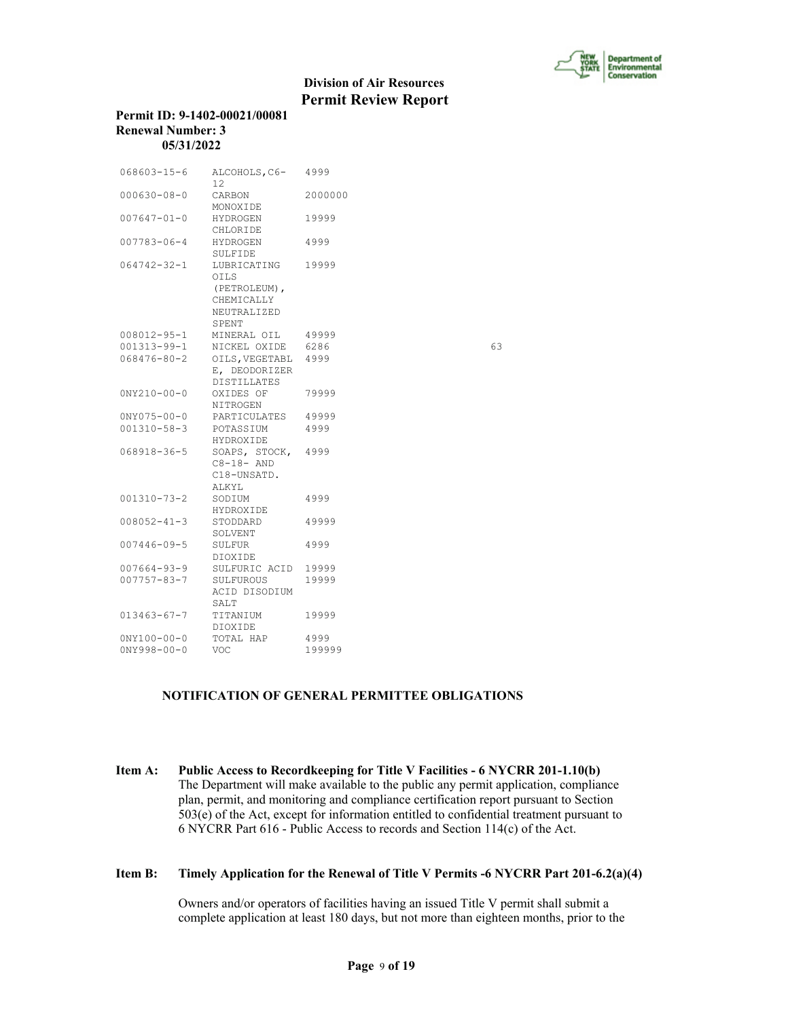

#### **Permit ID: 9-1402-00021/00081 Renewal Number: 3 05/31/2022**

| 12                                                                |         |                                                                                                                                                                |
|-------------------------------------------------------------------|---------|----------------------------------------------------------------------------------------------------------------------------------------------------------------|
| CARBON<br>MONOXIDE                                                | 2000000 |                                                                                                                                                                |
| HYDROGEN<br>CHLORIDE                                              | 19999   |                                                                                                                                                                |
| HYDROGEN<br>SULFIDE                                               | 4999    |                                                                                                                                                                |
| <b>OILS</b><br>(PETROLEUM),<br>CHEMICALLY<br>NEUTRALIZED<br>SPENT |         |                                                                                                                                                                |
|                                                                   |         |                                                                                                                                                                |
| NICKEL OXIDE                                                      |         | 63                                                                                                                                                             |
| E, DEODORIZER<br><b>DISTILLATES</b>                               |         |                                                                                                                                                                |
| OXIDES OF<br>NITROGEN                                             | 79999   |                                                                                                                                                                |
|                                                                   |         |                                                                                                                                                                |
| POTASSIUM<br>HYDROXIDE                                            | 4999    |                                                                                                                                                                |
| $C8-18-AND$<br>C18-UNSATD.                                        |         |                                                                                                                                                                |
| SODIUM<br>HYDROXIDE                                               | 4999    |                                                                                                                                                                |
| STODDARD<br>SOLVENT                                               | 49999   |                                                                                                                                                                |
| SULFUR<br>DIOXIDE                                                 | 4999    |                                                                                                                                                                |
|                                                                   |         |                                                                                                                                                                |
| SULFUROUS<br>ACID DISODIUM<br>SALT                                | 19999   |                                                                                                                                                                |
| TITANIUM<br>DIOXIDE                                               | 19999   |                                                                                                                                                                |
| TOTAL HAP                                                         | 4999    |                                                                                                                                                                |
| VOC.                                                              | 199999  |                                                                                                                                                                |
|                                                                   | ALKYL   | ALCOHOLS, C6- 4999<br>LUBRICATING 19999<br>MINERAL OIL 49999<br>6286<br>OILS, VEGETABL 4999<br>PARTICULATES 49999<br>SOAPS, STOCK, 4999<br>SULFURIC ACID 19999 |

#### **NOTIFICATION OF GENERAL PERMITTEE OBLIGATIONS**

**Item A: Public Access to Recordkeeping for Title V Facilities - 6 NYCRR 201-1.10(b)** The Department will make available to the public any permit application, compliance plan, permit, and monitoring and compliance certification report pursuant to Section 503(e) of the Act, except for information entitled to confidential treatment pursuant to 6 NYCRR Part 616 - Public Access to records and Section 114(c) of the Act.

#### **Item B: Timely Application for the Renewal of Title V Permits -6 NYCRR Part 201-6.2(a)(4)**

 Owners and/or operators of facilities having an issued Title V permit shall submit a complete application at least 180 days, but not more than eighteen months, prior to the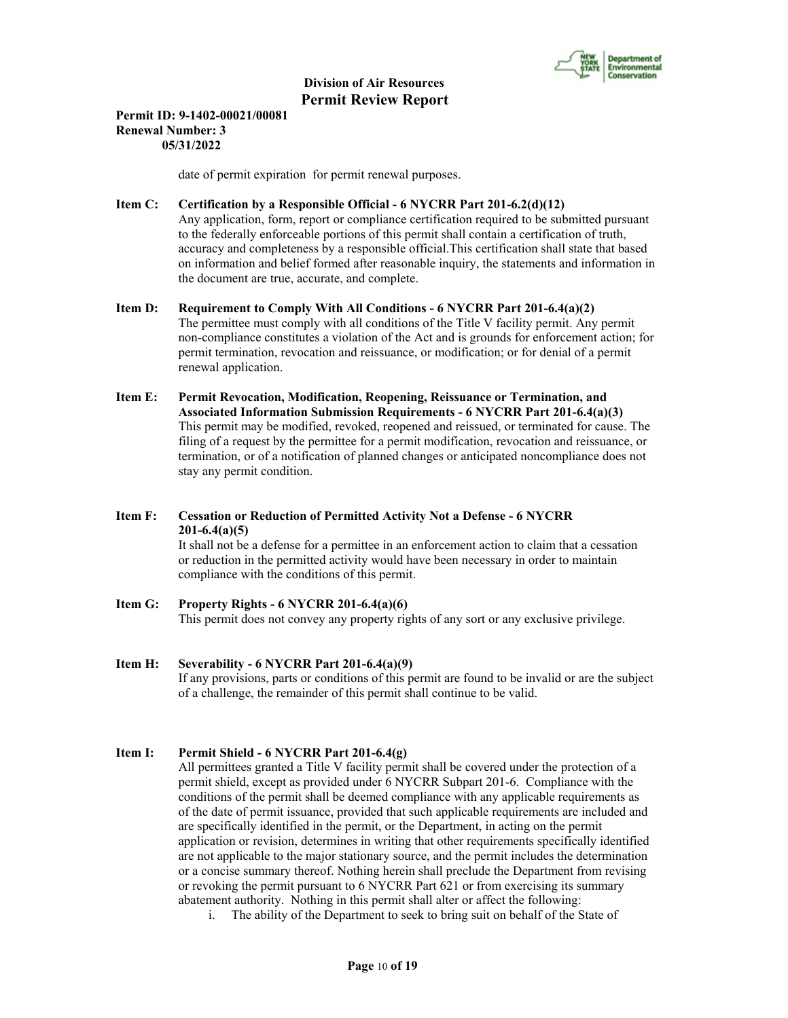

#### **Permit ID: 9-1402-00021/00081 Renewal Number: 3 05/31/2022**

date of permit expiration for permit renewal purposes.

### **Item C: Certification by a Responsible Official - 6 NYCRR Part 201-6.2(d)(12)**

 Any application, form, report or compliance certification required to be submitted pursuant to the federally enforceable portions of this permit shall contain a certification of truth, accuracy and completeness by a responsible official.This certification shall state that based on information and belief formed after reasonable inquiry, the statements and information in the document are true, accurate, and complete.

#### **Item D: Requirement to Comply With All Conditions - 6 NYCRR Part 201-6.4(a)(2)** The permittee must comply with all conditions of the Title V facility permit. Any permit non-compliance constitutes a violation of the Act and is grounds for enforcement action; for permit termination, revocation and reissuance, or modification; or for denial of a permit renewal application.

**Item E: Permit Revocation, Modification, Reopening, Reissuance or Termination, and Associated Information Submission Requirements - 6 NYCRR Part 201-6.4(a)(3)** This permit may be modified, revoked, reopened and reissued, or terminated for cause. The filing of a request by the permittee for a permit modification, revocation and reissuance, or termination, or of a notification of planned changes or anticipated noncompliance does not stay any permit condition.

# **Item F: Cessation or Reduction of Permitted Activity Not a Defense - 6 NYCRR 201-6.4(a)(5)**

 It shall not be a defense for a permittee in an enforcement action to claim that a cessation or reduction in the permitted activity would have been necessary in order to maintain compliance with the conditions of this permit.

# **Item G: Property Rights - 6 NYCRR 201-6.4(a)(6)** This permit does not convey any property rights of any sort or any exclusive privilege.

# **Item H: Severability - 6 NYCRR Part 201-6.4(a)(9)** If any provisions, parts or conditions of this permit are found to be invalid or are the subject

# of a challenge, the remainder of this permit shall continue to be valid.

## **Item I: Permit Shield - 6 NYCRR Part 201-6.4(g)**

 All permittees granted a Title V facility permit shall be covered under the protection of a permit shield, except as provided under 6 NYCRR Subpart 201-6. Compliance with the conditions of the permit shall be deemed compliance with any applicable requirements as of the date of permit issuance, provided that such applicable requirements are included and are specifically identified in the permit, or the Department, in acting on the permit application or revision, determines in writing that other requirements specifically identified are not applicable to the major stationary source, and the permit includes the determination or a concise summary thereof. Nothing herein shall preclude the Department from revising or revoking the permit pursuant to 6 NYCRR Part 621 or from exercising its summary abatement authority. Nothing in this permit shall alter or affect the following:

i. The ability of the Department to seek to bring suit on behalf of the State of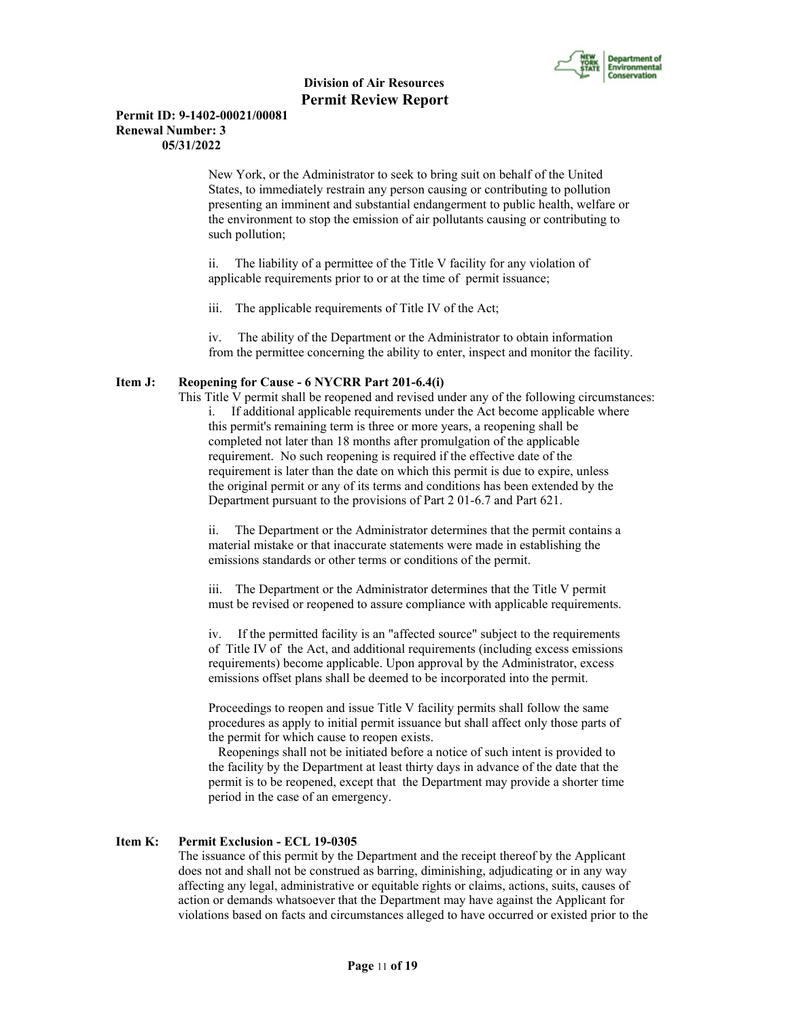

#### **Permit ID: 9-1402-00021/00081 Renewal Number: 3 05/31/2022**

New York, or the Administrator to seek to bring suit on behalf of the United States, to immediately restrain any person causing or contributing to pollution presenting an imminent and substantial endangerment to public health, welfare or the environment to stop the emission of air pollutants causing or contributing to such pollution;

ii. The liability of a permittee of the Title V facility for any violation of applicable requirements prior to or at the time of permit issuance;

iii. The applicable requirements of Title IV of the Act;

iv. The ability of the Department or the Administrator to obtain information from the permittee concerning the ability to enter, inspect and monitor the facility.

#### **Item J: Reopening for Cause - 6 NYCRR Part 201-6.4(i)**

 This Title V permit shall be reopened and revised under any of the following circumstances: i. If additional applicable requirements under the Act become applicable where this permit's remaining term is three or more years, a reopening shall be completed not later than 18 months after promulgation of the applicable requirement. No such reopening is required if the effective date of the requirement is later than the date on which this permit is due to expire, unless the original permit or any of its terms and conditions has been extended by the Department pursuant to the provisions of Part 2 01-6.7 and Part 621.

ii. The Department or the Administrator determines that the permit contains a material mistake or that inaccurate statements were made in establishing the emissions standards or other terms or conditions of the permit.

iii. The Department or the Administrator determines that the Title V permit must be revised or reopened to assure compliance with applicable requirements.

iv. If the permitted facility is an "affected source" subject to the requirements of Title IV of the Act, and additional requirements (including excess emissions requirements) become applicable. Upon approval by the Administrator, excess emissions offset plans shall be deemed to be incorporated into the permit.

Proceedings to reopen and issue Title V facility permits shall follow the same procedures as apply to initial permit issuance but shall affect only those parts of the permit for which cause to reopen exists.

 Reopenings shall not be initiated before a notice of such intent is provided to the facility by the Department at least thirty days in advance of the date that the permit is to be reopened, except that the Department may provide a shorter time period in the case of an emergency.

#### **Item K: Permit Exclusion - ECL 19-0305**

 The issuance of this permit by the Department and the receipt thereof by the Applicant does not and shall not be construed as barring, diminishing, adjudicating or in any way affecting any legal, administrative or equitable rights or claims, actions, suits, causes of action or demands whatsoever that the Department may have against the Applicant for violations based on facts and circumstances alleged to have occurred or existed prior to the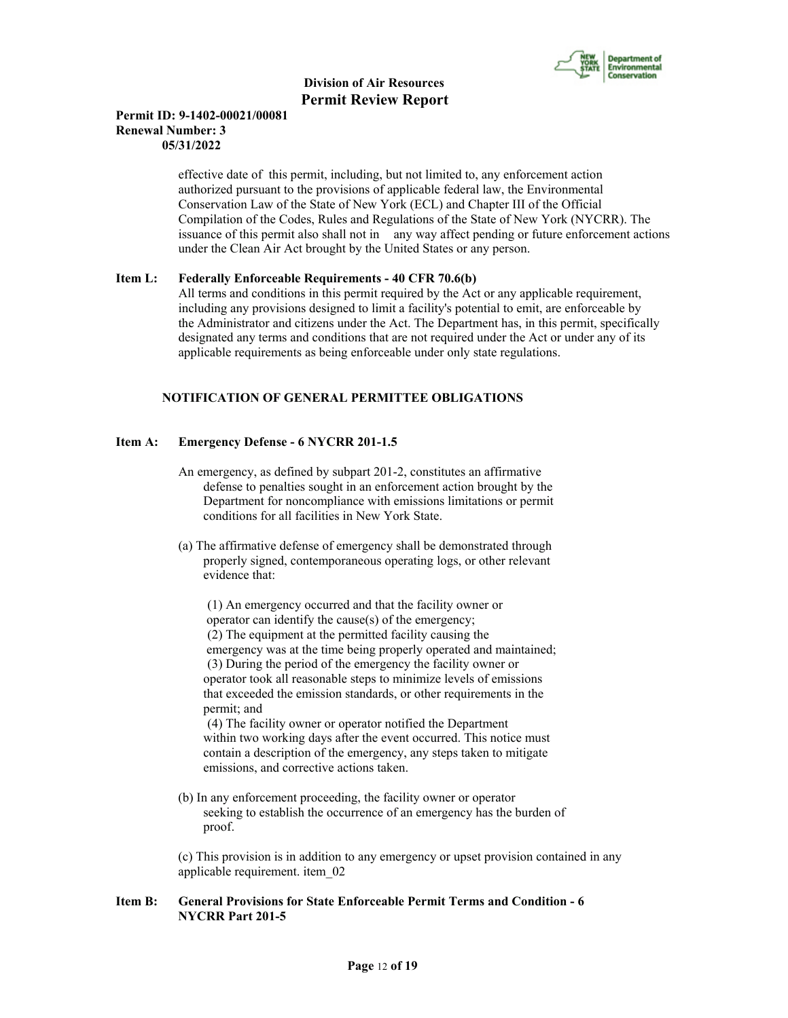

#### **Permit ID: 9-1402-00021/00081 Renewal Number: 3 05/31/2022**

 effective date of this permit, including, but not limited to, any enforcement action authorized pursuant to the provisions of applicable federal law, the Environmental Conservation Law of the State of New York (ECL) and Chapter III of the Official Compilation of the Codes, Rules and Regulations of the State of New York (NYCRR). The issuance of this permit also shall not in any way affect pending or future enforcement actions under the Clean Air Act brought by the United States or any person.

#### **Item L: Federally Enforceable Requirements - 40 CFR 70.6(b)**

 All terms and conditions in this permit required by the Act or any applicable requirement, including any provisions designed to limit a facility's potential to emit, are enforceable by the Administrator and citizens under the Act. The Department has, in this permit, specifically designated any terms and conditions that are not required under the Act or under any of its applicable requirements as being enforceable under only state regulations.

#### **NOTIFICATION OF GENERAL PERMITTEE OBLIGATIONS**

#### **Item A: Emergency Defense - 6 NYCRR 201-1.5**

- An emergency, as defined by subpart 201-2, constitutes an affirmative defense to penalties sought in an enforcement action brought by the Department for noncompliance with emissions limitations or permit conditions for all facilities in New York State.
- (a) The affirmative defense of emergency shall be demonstrated through properly signed, contemporaneous operating logs, or other relevant evidence that:

 (1) An emergency occurred and that the facility owner or operator can identify the cause(s) of the emergency; (2) The equipment at the permitted facility causing the emergency was at the time being properly operated and maintained; (3) During the period of the emergency the facility owner or operator took all reasonable steps to minimize levels of emissions that exceeded the emission standards, or other requirements in the permit; and

 (4) The facility owner or operator notified the Department within two working days after the event occurred. This notice must contain a description of the emergency, any steps taken to mitigate emissions, and corrective actions taken.

 (b) In any enforcement proceeding, the facility owner or operator seeking to establish the occurrence of an emergency has the burden of proof.

 (c) This provision is in addition to any emergency or upset provision contained in any applicable requirement. item\_02

#### **Item B: General Provisions for State Enforceable Permit Terms and Condition - 6 NYCRR Part 201-5**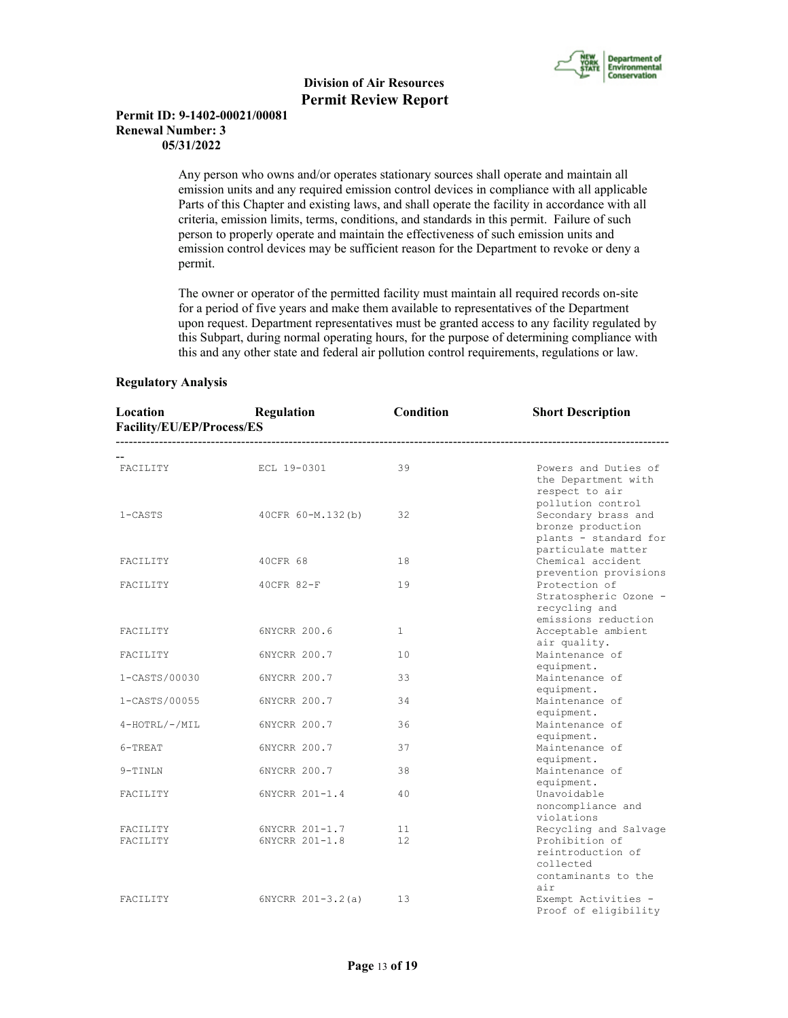

#### **Permit ID: 9-1402-00021/00081 Renewal Number: 3 05/31/2022**

 Any person who owns and/or operates stationary sources shall operate and maintain all emission units and any required emission control devices in compliance with all applicable Parts of this Chapter and existing laws, and shall operate the facility in accordance with all criteria, emission limits, terms, conditions, and standards in this permit. Failure of such person to properly operate and maintain the effectiveness of such emission units and emission control devices may be sufficient reason for the Department to revoke or deny a permit.

 The owner or operator of the permitted facility must maintain all required records on-site for a period of five years and make them available to representatives of the Department upon request. Department representatives must be granted access to any facility regulated by this Subpart, during normal operating hours, for the purpose of determining compliance with this and any other state and federal air pollution control requirements, regulations or law.

#### **Regulatory Analysis**

| Location<br>Facility/EU/EP/Process/ES | Regulation<br>---------------------------- | Condition             | <b>Short Description</b>                                                                                     |
|---------------------------------------|--------------------------------------------|-----------------------|--------------------------------------------------------------------------------------------------------------|
| FACILITY                              | ECL 19-0301                                | 39                    | Powers and Duties of<br>the Department with<br>respect to air                                                |
| $1 - CASTS$                           | 40CFR 60-M.132(b)                          | 32                    | pollution control<br>Secondary brass and<br>bronze production<br>plants - standard for<br>particulate matter |
| FACILITY                              | 40CFR 68                                   | 18                    | Chemical accident<br>prevention provisions                                                                   |
| FACILITY                              | 40CFR 82-F                                 | 19                    | Protection of<br>Stratospheric Ozone -<br>recycling and<br>emissions reduction                               |
| FACILITY                              | 6NYCRR 200.6                               | 1                     | Acceptable ambient                                                                                           |
| FACILITY                              | 6NYCRR 200.7                               | 10                    | air quality.<br>Maintenance of                                                                               |
| 1-CASTS/00030                         | 6NYCRR 200.7                               | 33                    | equipment.<br>Maintenance of                                                                                 |
| 1-CASTS/00055                         | 6NYCRR 200.7                               | 34                    | equipment.<br>Maintenance of                                                                                 |
| $4-HOTRL/-/MIL$                       | 6NYCRR 200.7                               | 36                    | equipment.<br>Maintenance of                                                                                 |
| 6-TREAT                               | 6NYCRR 200.7                               | 37                    | equipment.<br>Maintenance of<br>equipment.                                                                   |
| 9-TINLN                               | 6NYCRR 200.7                               | 38                    | Maintenance of<br>equipment.                                                                                 |
| FACILITY                              | 6NYCRR 201-1.4                             | 40                    | Unavoidable<br>noncompliance and<br>violations                                                               |
| FACILITY<br>FACILITY                  | 6NYCRR 201-1.7<br>6NYCRR 201-1.8           | 11<br>12 <sub>1</sub> | Recycling and Salvage<br>Prohibition of<br>reintroduction of<br>collected<br>contaminants to the<br>air      |
| FACILITY                              | $6NYCRR 201-3.2(a)$                        | 13                    | Exempt Activities -<br>Proof of eligibility                                                                  |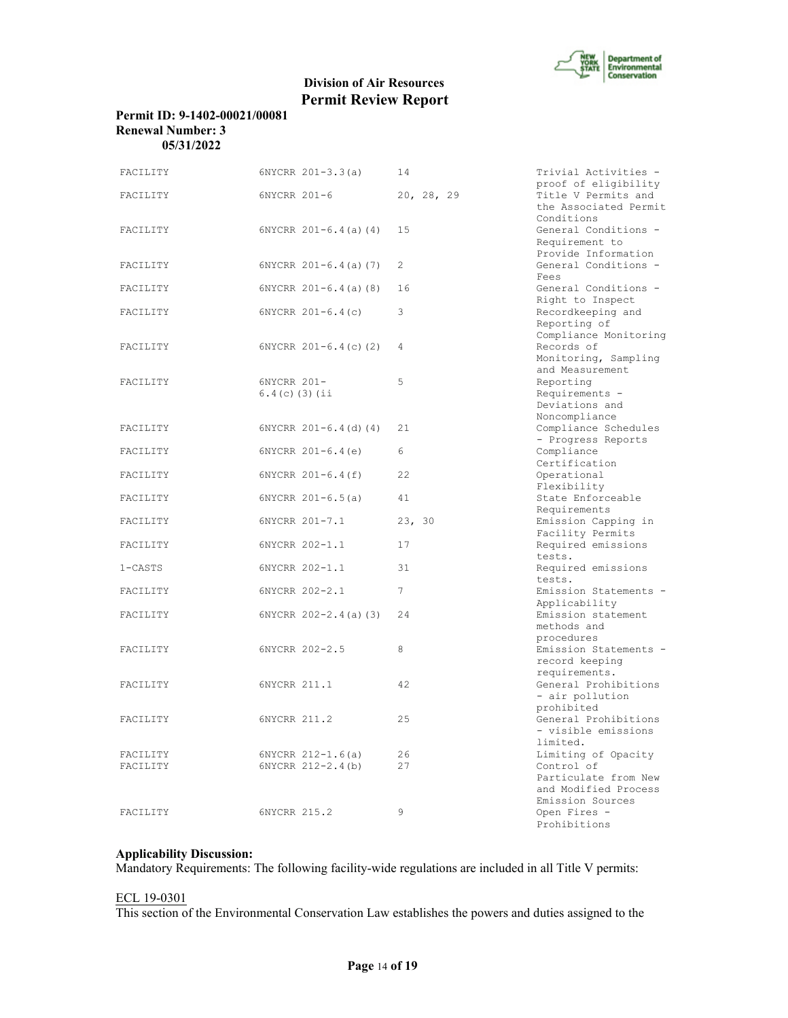

# **Division of Air Resources Permit Review Report**

#### **Permit ID: 9-1402-00021/00081 Renewal Number: 3 05/31/2022**

| FACILITY             | $6NYCRR 201-3.3(a)$                        | 14         | Trivial Activities -                                                                                  |
|----------------------|--------------------------------------------|------------|-------------------------------------------------------------------------------------------------------|
| FACILITY             | 6NYCRR 201-6                               | 20, 28, 29 | proof of eligibility<br>Title V Permits and<br>the Associated Permit<br>Conditions                    |
| FACILITY             | $6NYCRR$ $201-6.4$ (a) (4)                 | 15         | General Conditions -<br>Requirement to<br>Provide Information                                         |
| FACILITY             | $6NYCRR$ $201-6.4$ (a) (7)                 | 2          | General Conditions -<br>Fees                                                                          |
| FACILITY             | $6NYCRR 201-6.4(a) (8)$                    | 16         | General Conditions -<br>Right to Inspect                                                              |
| FACILITY             | $6NYCRR 201-6.4(c)$                        | 3          | Recordkeeping and<br>Reporting of<br>Compliance Monitoring                                            |
| FACILITY             | $6NYCRR$ $201-6.4(c)$ (2)                  | 4          | Records of<br>Monitoring, Sampling<br>and Measurement                                                 |
| FACILITY             | 6NYCRR 201-<br>$6.4(c)$ (3) (ii            | 5          | Reporting<br>Requirements -<br>Deviations and<br>Noncompliance                                        |
| FACILITY             | $6NYCRR 201-6.4 (d) (4)$                   | 21         | Compliance Schedules<br>- Progress Reports                                                            |
| FACILITY             | $6NYCRR 201-6.4(e)$                        | 6          | Compliance<br>Certification                                                                           |
| FACILITY             | $6NYCRR 201-6.4(f)$                        | 22         | Operational<br>Flexibility                                                                            |
| FACILITY             | $6NYCRR 201-6.5(a)$                        | 41         | State Enforceable<br>Requirements                                                                     |
| FACILITY             | 6NYCRR 201-7.1                             | 23, 30     | Emission Capping in<br>Facility Permits                                                               |
| FACILITY             | 6NYCRR 202-1.1                             | 17         | Required emissions<br>tests.                                                                          |
| $1 - CASTS$          | 6NYCRR 202-1.1                             | 31         | Required emissions<br>tests.                                                                          |
| FACILITY             | 6NYCRR 202-2.1                             | 7          | Emission Statements -<br>Applicability                                                                |
| FACILITY             | $6NYCRR$ $202-2.4$ (a) (3)                 | 24         | Emission statement<br>methods and<br>procedures                                                       |
| FACILITY             | 6NYCRR 202-2.5                             | 8          | Emission Statements -<br>record keeping<br>requirements.                                              |
| FACILITY             | 6NYCRR 211.1                               | 42         | General Prohibitions<br>- air pollution<br>prohibited                                                 |
| FACILITY             | 6NYCRR 211.2                               | 2.5        | General Prohibitions<br>- visible emissions<br>limited.                                               |
| FACILITY<br>FACILITY | $6NYCRR 212-1.6(a)$<br>$6NYCRR 212-2.4(b)$ | 26<br>27   | Limiting of Opacity<br>Control of<br>Particulate from New<br>and Modified Process<br>Emission Sources |
| FACILITY             | 6NYCRR 215.2                               | $\circ$    | Open Fires -<br>Prohibitions                                                                          |

#### **Applicability Discussion:**

Mandatory Requirements: The following facility-wide regulations are included in all Title V permits:

#### ECL 19-0301

This section of the Environmental Conservation Law establishes the powers and duties assigned to the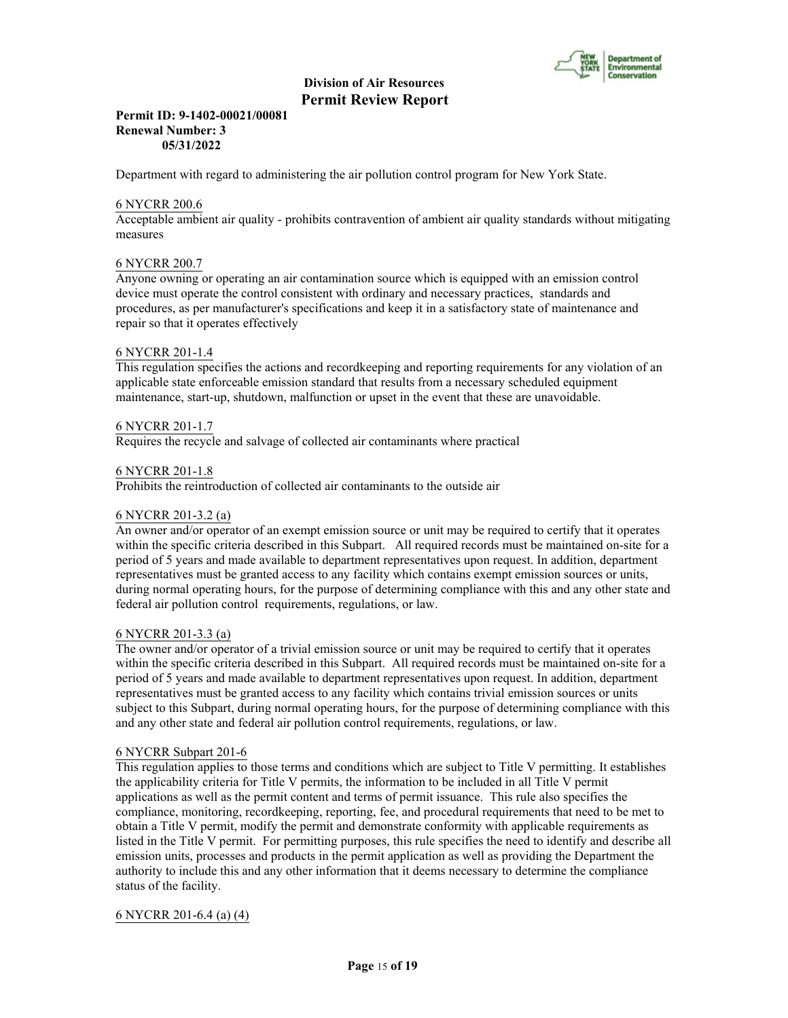

#### **Permit ID: 9-1402-00021/00081 Renewal Number: 3 05/31/2022**

Department with regard to administering the air pollution control program for New York State.

#### 6 NYCRR 200.6

Acceptable ambient air quality - prohibits contravention of ambient air quality standards without mitigating measures

#### 6 NYCRR 200.7

Anyone owning or operating an air contamination source which is equipped with an emission control device must operate the control consistent with ordinary and necessary practices, standards and procedures, as per manufacturer's specifications and keep it in a satisfactory state of maintenance and repair so that it operates effectively

#### 6 NYCRR 201-1.4

This regulation specifies the actions and recordkeeping and reporting requirements for any violation of an applicable state enforceable emission standard that results from a necessary scheduled equipment maintenance, start-up, shutdown, malfunction or upset in the event that these are unavoidable.

#### 6 NYCRR 201-1.7

Requires the recycle and salvage of collected air contaminants where practical

#### 6 NYCRR 201-1.8

Prohibits the reintroduction of collected air contaminants to the outside air

#### 6 NYCRR 201-3.2 (a)

An owner and/or operator of an exempt emission source or unit may be required to certify that it operates within the specific criteria described in this Subpart. All required records must be maintained on-site for a period of 5 years and made available to department representatives upon request. In addition, department representatives must be granted access to any facility which contains exempt emission sources or units, during normal operating hours, for the purpose of determining compliance with this and any other state and federal air pollution control requirements, regulations, or law.

#### 6 NYCRR 201-3.3 (a)

The owner and/or operator of a trivial emission source or unit may be required to certify that it operates within the specific criteria described in this Subpart. All required records must be maintained on-site for a period of 5 years and made available to department representatives upon request. In addition, department representatives must be granted access to any facility which contains trivial emission sources or units subject to this Subpart, during normal operating hours, for the purpose of determining compliance with this and any other state and federal air pollution control requirements, regulations, or law.

#### 6 NYCRR Subpart 201-6

This regulation applies to those terms and conditions which are subject to Title V permitting. It establishes the applicability criteria for Title V permits, the information to be included in all Title V permit applications as well as the permit content and terms of permit issuance. This rule also specifies the compliance, monitoring, recordkeeping, reporting, fee, and procedural requirements that need to be met to obtain a Title V permit, modify the permit and demonstrate conformity with applicable requirements as listed in the Title V permit. For permitting purposes, this rule specifies the need to identify and describe all emission units, processes and products in the permit application as well as providing the Department the authority to include this and any other information that it deems necessary to determine the compliance status of the facility.

#### 6 NYCRR 201-6.4 (a) (4)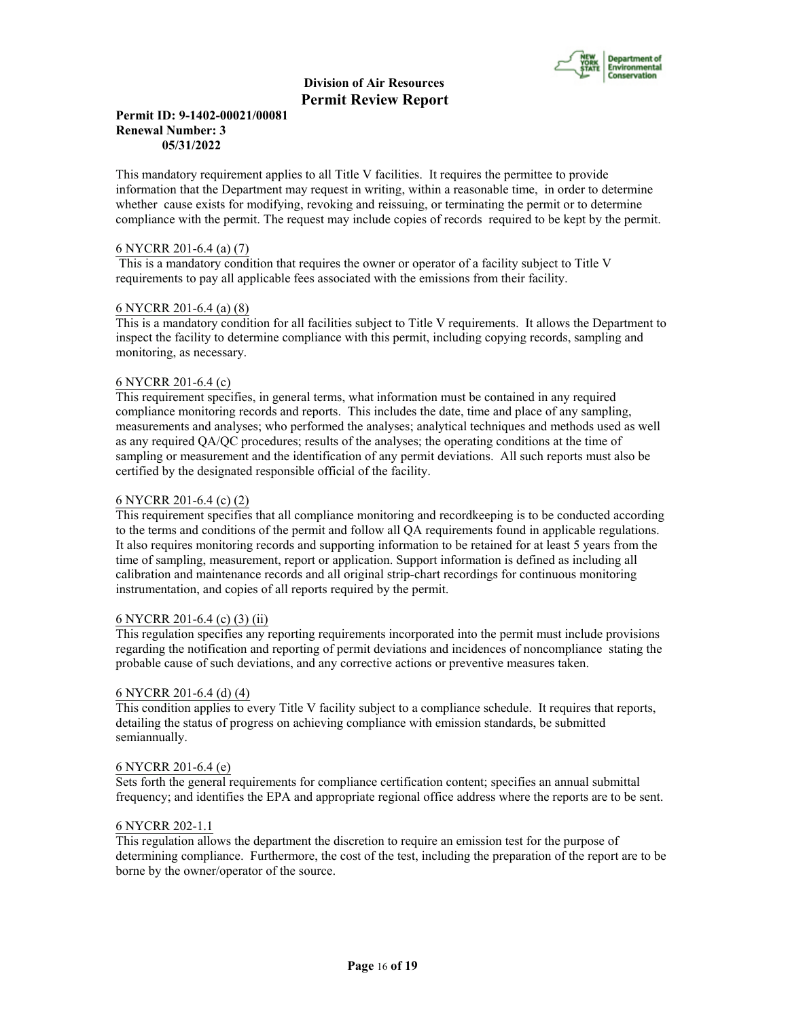

#### **Permit ID: 9-1402-00021/00081 Renewal Number: 3 05/31/2022**

This mandatory requirement applies to all Title V facilities. It requires the permittee to provide information that the Department may request in writing, within a reasonable time, in order to determine whether cause exists for modifying, revoking and reissuing, or terminating the permit or to determine compliance with the permit. The request may include copies of records required to be kept by the permit.

#### 6 NYCRR 201-6.4 (a) (7)

 This is a mandatory condition that requires the owner or operator of a facility subject to Title V requirements to pay all applicable fees associated with the emissions from their facility.

#### 6 NYCRR 201-6.4 (a) (8)

This is a mandatory condition for all facilities subject to Title V requirements. It allows the Department to inspect the facility to determine compliance with this permit, including copying records, sampling and monitoring, as necessary.

#### 6 NYCRR 201-6.4 (c)

This requirement specifies, in general terms, what information must be contained in any required compliance monitoring records and reports. This includes the date, time and place of any sampling, measurements and analyses; who performed the analyses; analytical techniques and methods used as well as any required QA/QC procedures; results of the analyses; the operating conditions at the time of sampling or measurement and the identification of any permit deviations. All such reports must also be certified by the designated responsible official of the facility.

#### 6 NYCRR 201-6.4 (c) (2)

This requirement specifies that all compliance monitoring and recordkeeping is to be conducted according to the terms and conditions of the permit and follow all QA requirements found in applicable regulations. It also requires monitoring records and supporting information to be retained for at least 5 years from the time of sampling, measurement, report or application. Support information is defined as including all calibration and maintenance records and all original strip-chart recordings for continuous monitoring instrumentation, and copies of all reports required by the permit.

#### 6 NYCRR 201-6.4 (c) (3) (ii)

This regulation specifies any reporting requirements incorporated into the permit must include provisions regarding the notification and reporting of permit deviations and incidences of noncompliance stating the probable cause of such deviations, and any corrective actions or preventive measures taken.

#### 6 NYCRR 201-6.4 (d) (4)

This condition applies to every Title V facility subject to a compliance schedule. It requires that reports, detailing the status of progress on achieving compliance with emission standards, be submitted semiannually.

#### 6 NYCRR 201-6.4 (e)

Sets forth the general requirements for compliance certification content; specifies an annual submittal frequency; and identifies the EPA and appropriate regional office address where the reports are to be sent.

#### 6 NYCRR 202-1.1

This regulation allows the department the discretion to require an emission test for the purpose of determining compliance. Furthermore, the cost of the test, including the preparation of the report are to be borne by the owner/operator of the source.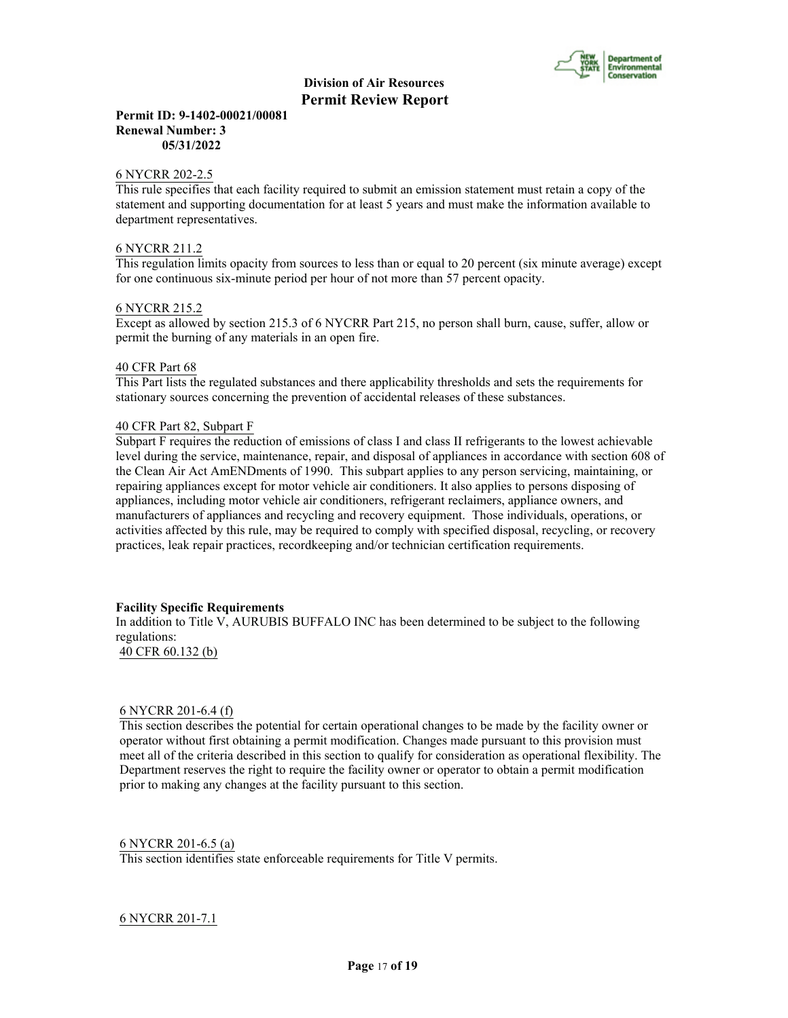

#### **Permit ID: 9-1402-00021/00081 Renewal Number: 3 05/31/2022**

#### 6 NYCRR 202-2.5

This rule specifies that each facility required to submit an emission statement must retain a copy of the statement and supporting documentation for at least 5 years and must make the information available to department representatives.

#### 6 NYCRR 211.2

This regulation limits opacity from sources to less than or equal to 20 percent (six minute average) except for one continuous six-minute period per hour of not more than 57 percent opacity.

#### 6 NYCRR 215.2

Except as allowed by section 215.3 of 6 NYCRR Part 215, no person shall burn, cause, suffer, allow or permit the burning of any materials in an open fire.

#### 40 CFR Part 68

This Part lists the regulated substances and there applicability thresholds and sets the requirements for stationary sources concerning the prevention of accidental releases of these substances.

#### 40 CFR Part 82, Subpart F

Subpart F requires the reduction of emissions of class I and class II refrigerants to the lowest achievable level during the service, maintenance, repair, and disposal of appliances in accordance with section 608 of the Clean Air Act AmENDments of 1990. This subpart applies to any person servicing, maintaining, or repairing appliances except for motor vehicle air conditioners. It also applies to persons disposing of appliances, including motor vehicle air conditioners, refrigerant reclaimers, appliance owners, and manufacturers of appliances and recycling and recovery equipment. Those individuals, operations, or activities affected by this rule, may be required to comply with specified disposal, recycling, or recovery practices, leak repair practices, recordkeeping and/or technician certification requirements.

#### **Facility Specific Requirements**

In addition to Title V, AURUBIS BUFFALO INC has been determined to be subject to the following regulations:

# 40 CFR 60.132 (b)

#### 6 NYCRR 201-6.4 (f)

This section describes the potential for certain operational changes to be made by the facility owner or operator without first obtaining a permit modification. Changes made pursuant to this provision must meet all of the criteria described in this section to qualify for consideration as operational flexibility. The Department reserves the right to require the facility owner or operator to obtain a permit modification prior to making any changes at the facility pursuant to this section.

#### 6 NYCRR 201-6.5 (a)

This section identifies state enforceable requirements for Title V permits.

#### 6 NYCRR 201-7.1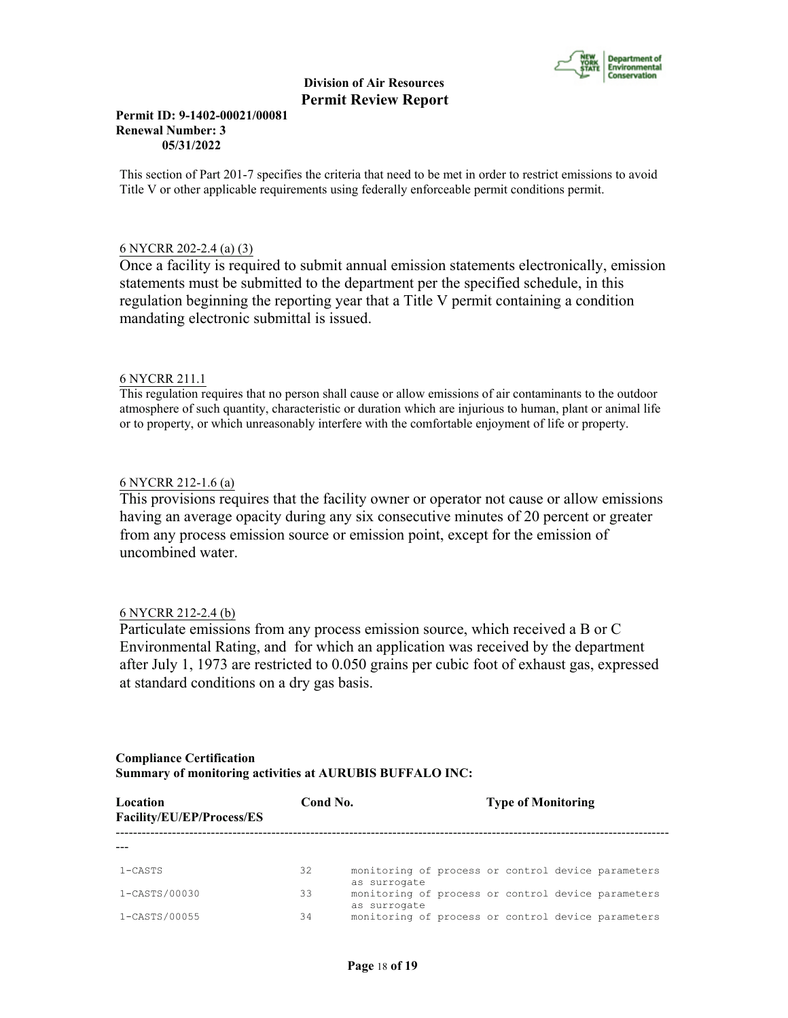

#### **Permit ID: 9-1402-00021/00081 Renewal Number: 3 05/31/2022**

This section of Part 201-7 specifies the criteria that need to be met in order to restrict emissions to avoid Title V or other applicable requirements using federally enforceable permit conditions permit.

### 6 NYCRR 202-2.4 (a) (3)

Once a facility is required to submit annual emission statements electronically, emission statements must be submitted to the department per the specified schedule, in this regulation beginning the reporting year that a Title V permit containing a condition mandating electronic submittal is issued.

#### 6 NYCRR 211.1

This regulation requires that no person shall cause or allow emissions of air contaminants to the outdoor atmosphere of such quantity, characteristic or duration which are injurious to human, plant or animal life or to property, or which unreasonably interfere with the comfortable enjoyment of life or property.

#### 6 NYCRR 212-1.6 (a)

This provisions requires that the facility owner or operator not cause or allow emissions having an average opacity during any six consecutive minutes of 20 percent or greater from any process emission source or emission point, except for the emission of uncombined water.

#### 6 NYCRR 212-2.4 (b)

Particulate emissions from any process emission source, which received a B or C Environmental Rating, and for which an application was received by the department after July 1, 1973 are restricted to 0.050 grains per cubic foot of exhaust gas, expressed at standard conditions on a dry gas basis.

#### **Compliance Certification Summary of monitoring activities at AURUBIS BUFFALO INC:**

| Location<br>Facility/EU/EP/Process/ES | Cond No. |                                                                    | <b>Type of Monitoring</b> |  |  |
|---------------------------------------|----------|--------------------------------------------------------------------|---------------------------|--|--|
|                                       |          |                                                                    |                           |  |  |
| 1-CASTS                               | 32       | monitoring of process or control device parameters<br>as surrogate |                           |  |  |
| 1-CASTS/00030                         | 33       | monitoring of process or control device parameters<br>as surrogate |                           |  |  |
| 1-CASTS/00055                         | 34       | monitoring of process or control device parameters                 |                           |  |  |